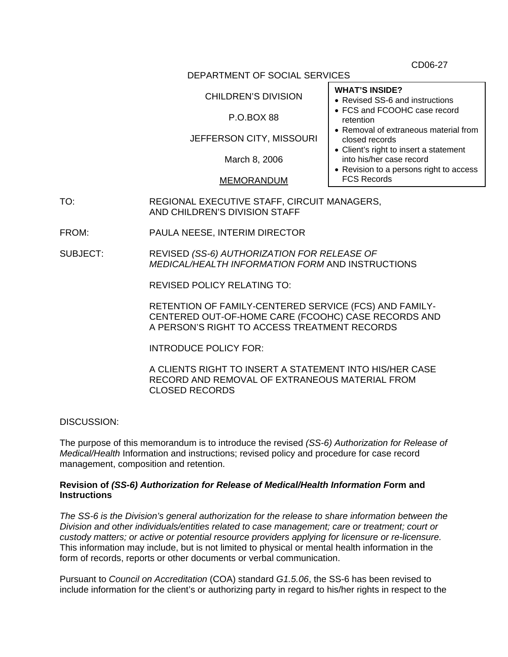CD06-27

### DEPARTMENT OF SOCIAL SERVICES

### CHILDREN'S DIVISION

### P.O.BOX 88

# JEFFERSON CITY, MISSOURI

March 8, 2006

### MEMORANDUM

- TO: REGIONAL EXECUTIVE STAFF, CIRCUIT MANAGERS, AND CHILDREN'S DIVISION STAFF
- FROM: PAULA NEESE, INTERIM DIRECTOR
- SUBJECT: REVISED *(SS-6) AUTHORIZATION FOR RELEASE OF MEDICAL/HEALTH INFORMATION FORM* AND INSTRUCTIONS

REVISED POLICY RELATING TO:

RETENTION OF FAMILY-CENTERED SERVICE (FCS) AND FAMILY-CENTERED OUT-OF-HOME CARE (FCOOHC) CASE RECORDS AND A PERSON'S RIGHT TO ACCESS TREATMENT RECORDS

INTRODUCE POLICY FOR:

A CLIENTS RIGHT TO INSERT A STATEMENT INTO HIS/HER CASE RECORD AND REMOVAL OF EXTRANEOUS MATERIAL FROM CLOSED RECORDS

DISCUSSION:

The purpose of this memorandum is to introduce the revised *(SS-6) Authorization for Release of Medical/Health* Information and instructions; revised policy and procedure for case record management, composition and retention.

### **Revision of** *(SS-6) Authorization for Release of Medical/Health Information F***orm and Instructions**

*The SS-6 is the Division's general authorization for the release to share information between the Division and other individuals/entities related to case management; care or treatment; court or custody matters; or active or potential resource providers applying for licensure or re-licensure.*  This information may include, but is not limited to physical or mental health information in the form of records, reports or other documents or verbal communication.

Pursuant to *Council on Accreditation* (COA) standard *G1.5.06*, the SS-6 has been revised to include information for the client's or authorizing party in regard to his/her rights in respect to the

# **WHAT'S INSIDE?**

- Revised SS-6 and instructions
- FCS and FCOOHC case record retention
- Removal of extraneous material from closed records
- Client's right to insert a statement into his/her case record
- Revision to a persons right to access FCS Records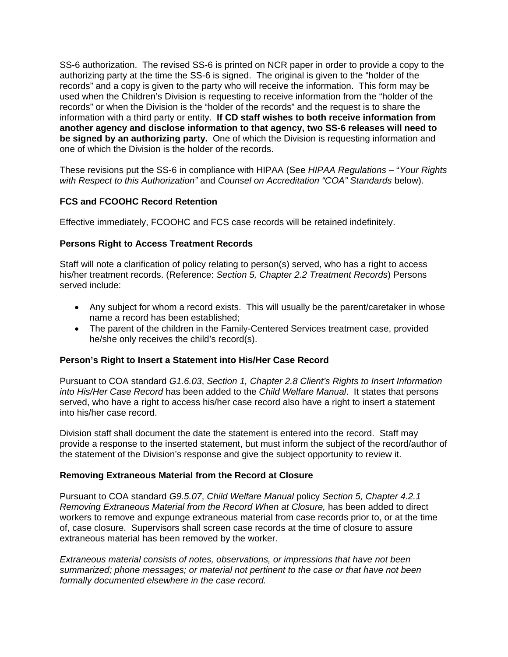SS-6 authorization. The revised SS-6 is printed on NCR paper in order to provide a copy to the authorizing party at the time the SS-6 is signed. The original is given to the "holder of the records" and a copy is given to the party who will receive the information. This form may be used when the Children's Division is requesting to receive information from the "holder of the records" or when the Division is the "holder of the records" and the request is to share the information with a third party or entity. **If CD staff wishes to both receive information from another agency and disclose information to that agency, two SS-6 releases will need to be signed by an authorizing party.** One of which the Division is requesting information and one of which the Division is the holder of the records.

These revisions put the SS-6 in compliance with HIPAA (See *HIPAA Regulations –* "*Your Rights with Respect to this Authorization"* and *Counsel on Accreditation "COA" Standards* below).

# **FCS and FCOOHC Record Retention**

Effective immediately, FCOOHC and FCS case records will be retained indefinitely.

### **Persons Right to Access Treatment Records**

Staff will note a clarification of policy relating to person(s) served, who has a right to access his/her treatment records. (Reference: *Section 5, Chapter 2.2 Treatment Records*) Persons served include:

- Any subject for whom a record exists. This will usually be the parent/caretaker in whose name a record has been established;
- The parent of the children in the Family-Centered Services treatment case, provided he/she only receives the child's record(s).

### **Person's Right to Insert a Statement into His/Her Case Record**

Pursuant to COA standard *G1.6.03*, *Section 1, Chapter 2.8 Client's Rights to Insert Information into His/Her Case Record* has been added to the *Child Welfare Manual*. It states that persons served, who have a right to access his/her case record also have a right to insert a statement into his/her case record.

Division staff shall document the date the statement is entered into the record. Staff may provide a response to the inserted statement, but must inform the subject of the record/author of the statement of the Division's response and give the subject opportunity to review it.

### **Removing Extraneous Material from the Record at Closure**

Pursuant to COA standard *G9.5.07*, *Child Welfare Manual* policy *Section 5, Chapter 4.2.1 Removing Extraneous Material from the Record When at Closure,* has been added to direct workers to remove and expunge extraneous material from case records prior to, or at the time of, case closure. Supervisors shall screen case records at the time of closure to assure extraneous material has been removed by the worker.

*Extraneous material consists of notes, observations, or impressions that have not been summarized; phone messages; or material not pertinent to the case or that have not been formally documented elsewhere in the case record.*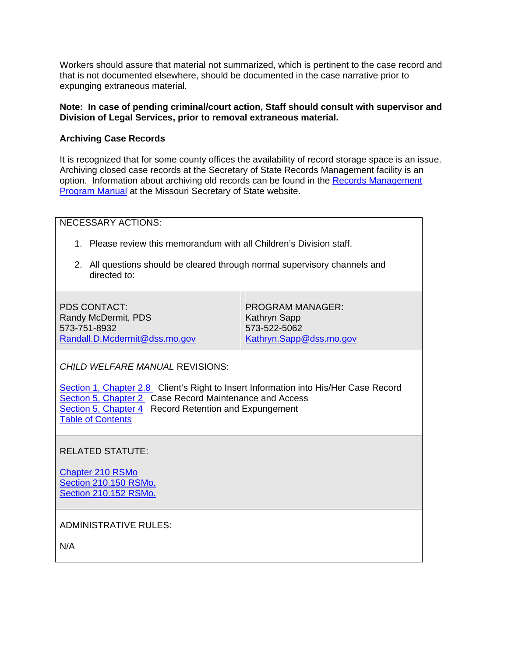Workers should assure that material not summarized, which is pertinent to the case record and that is not documented elsewhere, should be documented in the case narrative prior to expunging extraneous material.

### **Note: In case of pending criminal/court action, Staff should consult with supervisor and Division of Legal Services, prior to removal extraneous material.**

### **Archiving Case Records**

It is recognized that for some county offices the availability of record storage space is an issue. Archiving closed case records at the Secretary of State Records Management facility is an option. Information about archiving old records can be found in the [Records Management](http://www.sos.mo.gov/records/recmgmt/rmpm/)  [Program Manual](http://www.sos.mo.gov/records/recmgmt/rmpm/) at the Missouri Secretary of State website.

NECESSARY ACTIONS:

- 1. Please review this memorandum with all Children's Division staff.
- 2. All questions should be cleared through normal supervisory channels and directed to:

PDS CONTACT: Randy McDermit, PDS 573-751-8932 [Randall.D.Mcdermit@dss.mo.gov](mailto:Randall.D.Mcdermit@dss.mo.gov) 

PROGRAM MANAGER: Kathryn Sapp 573-522-5062 [Kathryn.Sapp@dss.mo.gov](mailto:Kathryn.Sapp@dss.mo.gov)

*CHILD WELFARE MANUAL* REVISIONS:

[Section 1, Chapter 2.8](http://www.dss.mo.gov/cd/info/cwmanual/section1/sec1ch2.pdf) Client's Right to Insert Information into His/Her Case Record [Section 5, Chapter 2](http://www.dss.mo.gov/cd/info/cwmanual/section5/sec5ch2.pdf) Case Record Maintenance and Access [Section 5, Chapter 4](http://www.dss.mo.gov/cd/info/cwmanual/section5/sec5ch4.pdf) Record Retention and Expungement [Table of Contents](http://www.dss.mo.gov/cd/info/cwmanual/index.htm)

RELATED STATUTE:

[Chapter 210 RSMo](http://www.moga.mo.gov/STATUTES/C210.HTM) [Section 210.150 RSMo.](http://www.moga.mo.gov/statutes/C200-299/2100000150.HTM) [Section 210.152 RSMo.](http://www.moga.mo.gov/statutes/C200-299/2100000152.HTM)

ADMINISTRATIVE RULES:

N/A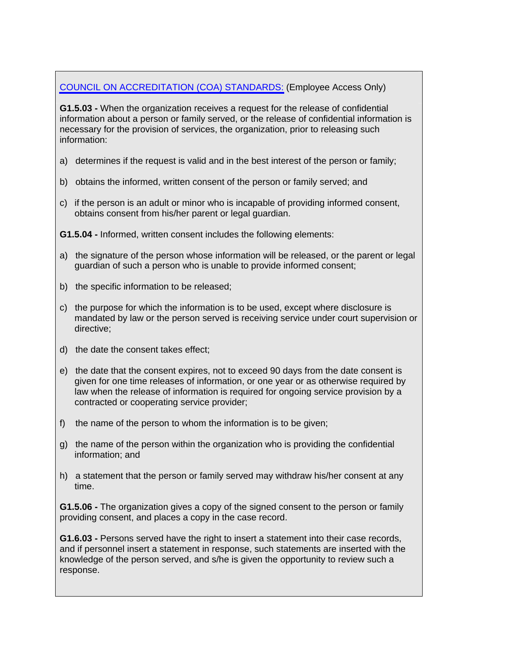# [COUNCIL ON ACCREDITATION \(COA\) STANDARDS:](http://dssweb/cs/standards/index.html) (Employee Access Only)

**G1.5.03 -** When the organization receives a request for the release of confidential information about a person or family served, or the release of confidential information is necessary for the provision of services, the organization, prior to releasing such information:

- a) determines if the request is valid and in the best interest of the person or family;
- b) obtains the informed, written consent of the person or family served; and
- c) if the person is an adult or minor who is incapable of providing informed consent, obtains consent from his/her parent or legal guardian.
- **G1.5.04** Informed, written consent includes the following elements:
- a) the signature of the person whose information will be released, or the parent or legal guardian of such a person who is unable to provide informed consent;
- b) the specific information to be released;
- c) the purpose for which the information is to be used, except where disclosure is mandated by law or the person served is receiving service under court supervision or directive;
- d) the date the consent takes effect;
- e) the date that the consent expires, not to exceed 90 days from the date consent is given for one time releases of information, or one year or as otherwise required by law when the release of information is required for ongoing service provision by a contracted or cooperating service provider;
- f) the name of the person to whom the information is to be given;
- g) the name of the person within the organization who is providing the confidential information; and
- h) a statement that the person or family served may withdraw his/her consent at any time.

**G1.5.06 -** The organization gives a copy of the signed consent to the person or family providing consent, and places a copy in the case record.

**G1.6.03 -** Persons served have the right to insert a statement into their case records, and if personnel insert a statement in response, such statements are inserted with the knowledge of the person served, and s/he is given the opportunity to review such a response.